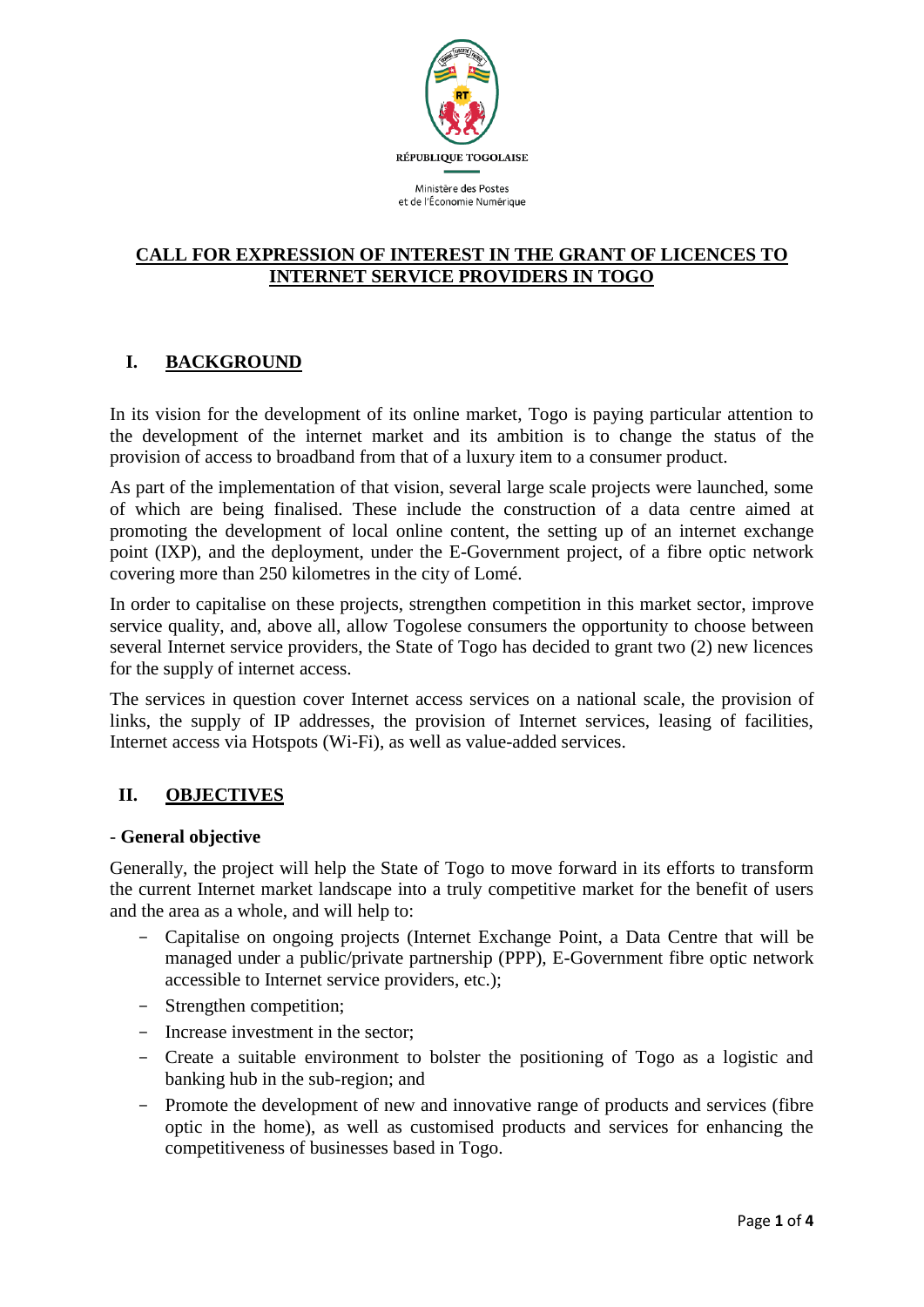

### **CALL FOR EXPRESSION OF INTEREST IN THE GRANT OF LICENCES TO INTERNET SERVICE PROVIDERS IN TOGO**

# **I. BACKGROUND**

In its vision for the development of its online market, Togo is paying particular attention to the development of the internet market and its ambition is to change the status of the provision of access to broadband from that of a luxury item to a consumer product.

As part of the implementation of that vision, several large scale projects were launched, some of which are being finalised. These include the construction of a data centre aimed at promoting the development of local online content, the setting up of an internet exchange point (IXP), and the deployment, under the E-Government project, of a fibre optic network covering more than 250 kilometres in the city of Lomé.

In order to capitalise on these projects, strengthen competition in this market sector, improve service quality, and, above all, allow Togolese consumers the opportunity to choose between several Internet service providers, the State of Togo has decided to grant two (2) new licences for the supply of internet access.

The services in question cover Internet access services on a national scale, the provision of links, the supply of IP addresses, the provision of Internet services, leasing of facilities, Internet access via Hotspots (Wi-Fi), as well as value-added services.

## **II. OBJECTIVES**

### - **General objective**

Generally, the project will help the State of Togo to move forward in its efforts to transform the current Internet market landscape into a truly competitive market for the benefit of users and the area as a whole, and will help to:

- Capitalise on ongoing projects (Internet Exchange Point, a Data Centre that will be managed under a public/private partnership (PPP), E-Government fibre optic network accessible to Internet service providers, etc.);
- Strengthen competition;
- Increase investment in the sector;
- Create a suitable environment to bolster the positioning of Togo as a logistic and banking hub in the sub-region; and
- Promote the development of new and innovative range of products and services (fibre optic in the home), as well as customised products and services for enhancing the competitiveness of businesses based in Togo.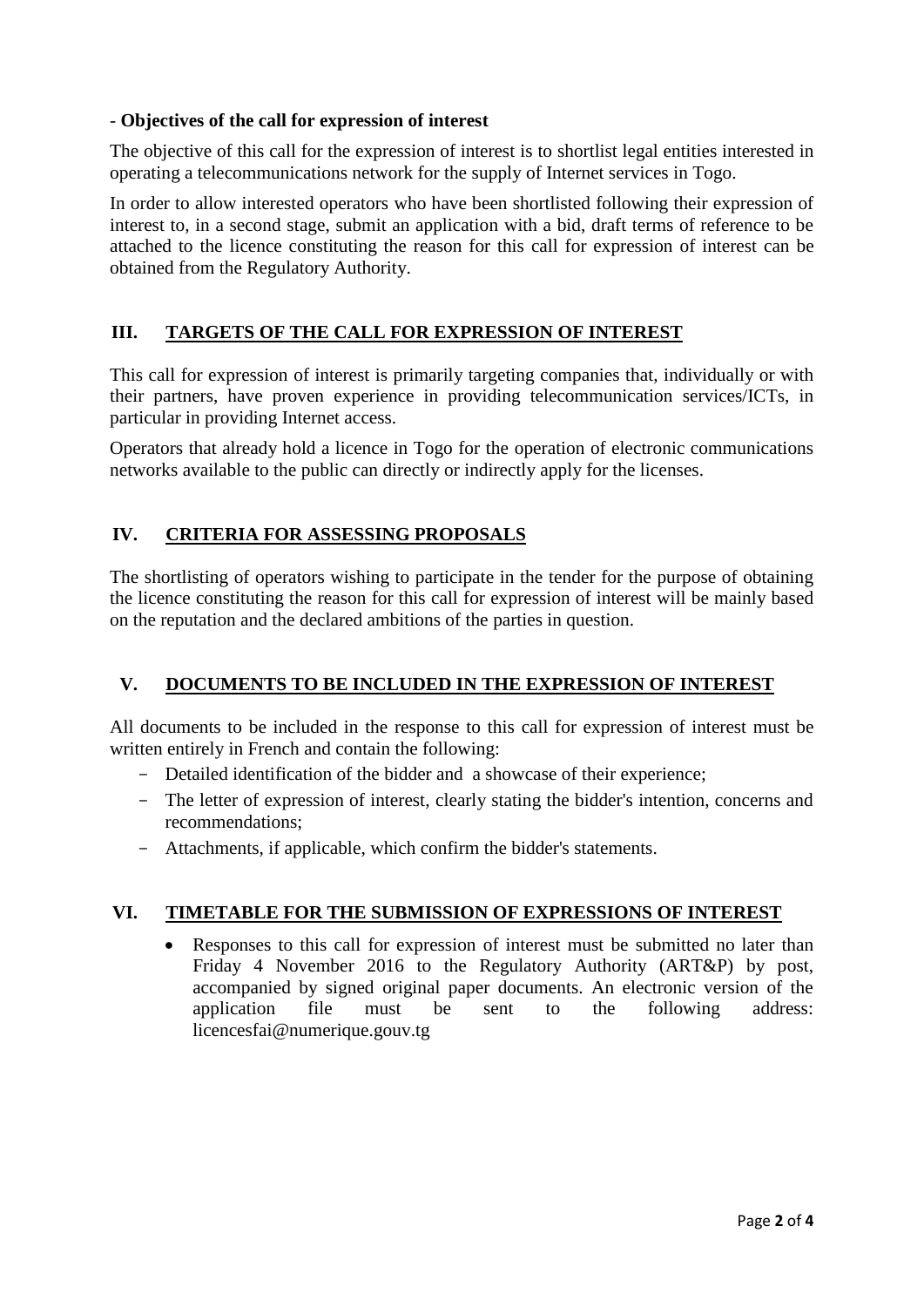## - **Objectives of the call for expression of interest**

The objective of this call for the expression of interest is to shortlist legal entities interested in operating a telecommunications network for the supply of Internet services in Togo.

In order to allow interested operators who have been shortlisted following their expression of interest to, in a second stage, submit an application with a bid, draft terms of reference to be attached to the licence constituting the reason for this call for expression of interest can be obtained from the Regulatory Authority.

## **III. TARGETS OF THE CALL FOR EXPRESSION OF INTEREST**

This call for expression of interest is primarily targeting companies that, individually or with their partners, have proven experience in providing telecommunication services/ICTs, in particular in providing Internet access.

Operators that already hold a licence in Togo for the operation of electronic communications networks available to the public can directly or indirectly apply for the licenses.

## **IV. CRITERIA FOR ASSESSING PROPOSALS**

The shortlisting of operators wishing to participate in the tender for the purpose of obtaining the licence constituting the reason for this call for expression of interest will be mainly based on the reputation and the declared ambitions of the parties in question.

## **V. DOCUMENTS TO BE INCLUDED IN THE EXPRESSION OF INTEREST**

All documents to be included in the response to this call for expression of interest must be written entirely in French and contain the following:

- Detailed identification of the bidder and a showcase of their experience;
- The letter of expression of interest, clearly stating the bidder's intention, concerns and recommendations;
- Attachments, if applicable, which confirm the bidder's statements.

## **VI. TIMETABLE FOR THE SUBMISSION OF EXPRESSIONS OF INTEREST**

 Responses to this call for expression of interest must be submitted no later than Friday 4 November 2016 to the Regulatory Authority (ART&P) by post, accompanied by signed original paper documents. An electronic version of the application file must be sent to the following address: licencesfai@numerique.gouv.tg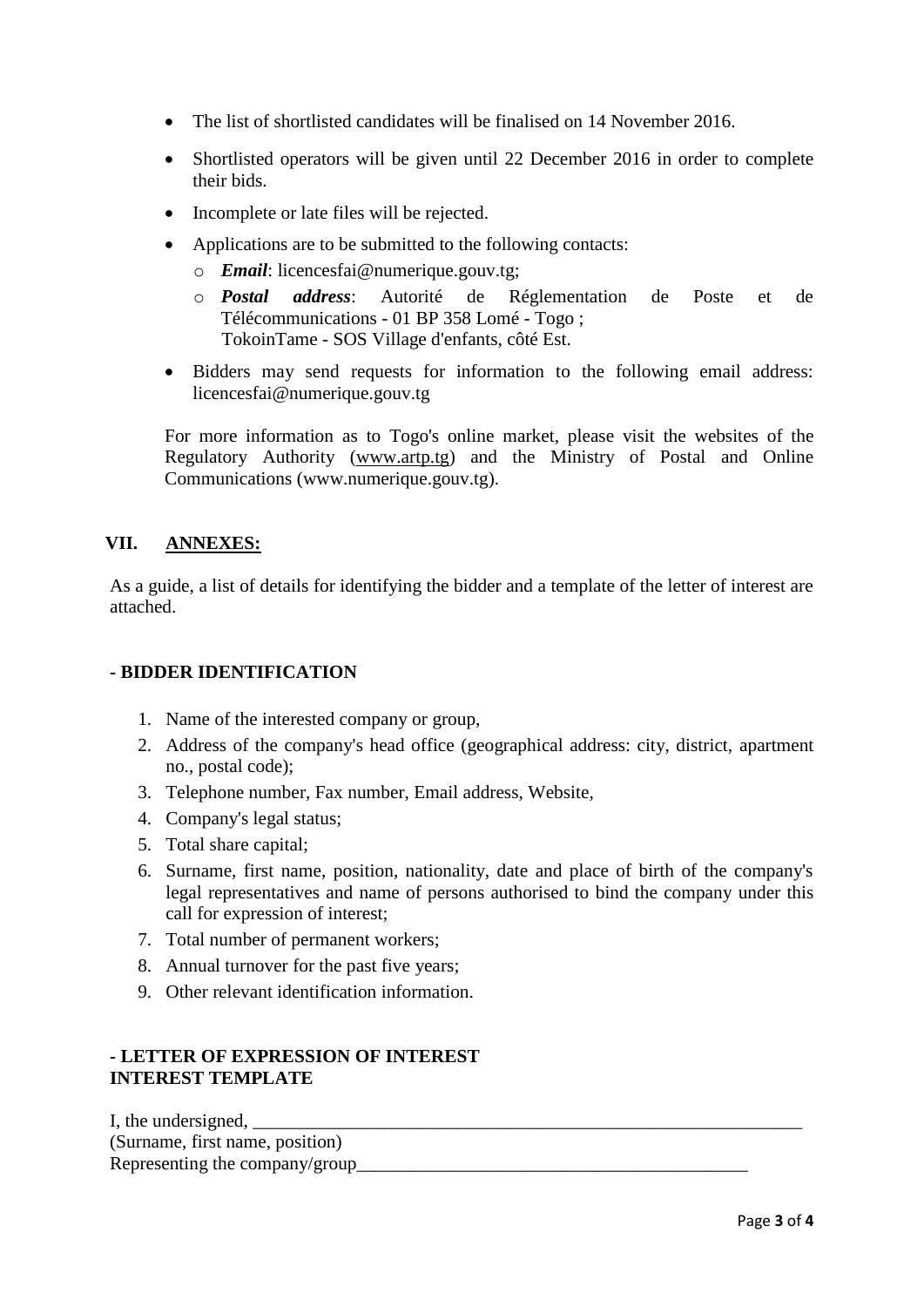- The list of shortlisted candidates will be finalised on 14 November 2016.
- Shortlisted operators will be given until 22 December 2016 in order to complete their bids.
- Incomplete or late files will be rejected.
- Applications are to be submitted to the following contacts:
	- o *Email*: licencesfai@numerique.gouv.tg;
	- o *Postal address*: Autorité de Réglementation de Poste et de Télécommunications - 01 BP 358 Lomé - Togo ; TokoinTame - SOS Village d'enfants, côté Est.
- Bidders may send requests for information to the following email address: licencesfai@numerique.gouv.tg

For more information as to Togo's online market, please visit the websites of the Regulatory Authority [\(www.artp.tg\)](http://www.artp.tg/) and the Ministry of Postal and Online Communications (www.numerique.gouv.tg).

## **VII. ANNEXES:**

As a guide, a list of details for identifying the bidder and a template of the letter of interest are attached.

### **- BIDDER IDENTIFICATION**

- 1. Name of the interested company or group,
- 2. Address of the company's head office (geographical address: city, district, apartment no., postal code);
- 3. Telephone number, Fax number, Email address, Website,
- 4. Company's legal status;
- 5. Total share capital;
- 6. Surname, first name, position, nationality, date and place of birth of the company's legal representatives and name of persons authorised to bind the company under this call for expression of interest;
- 7. Total number of permanent workers;
- 8. Annual turnover for the past five years;
- 9. Other relevant identification information.

### **- LETTER OF EXPRESSION OF INTEREST INTEREST TEMPLATE**

| I, the undersigned,             |  |
|---------------------------------|--|
| (Surname, first name, position) |  |
| Representing the company/group_ |  |